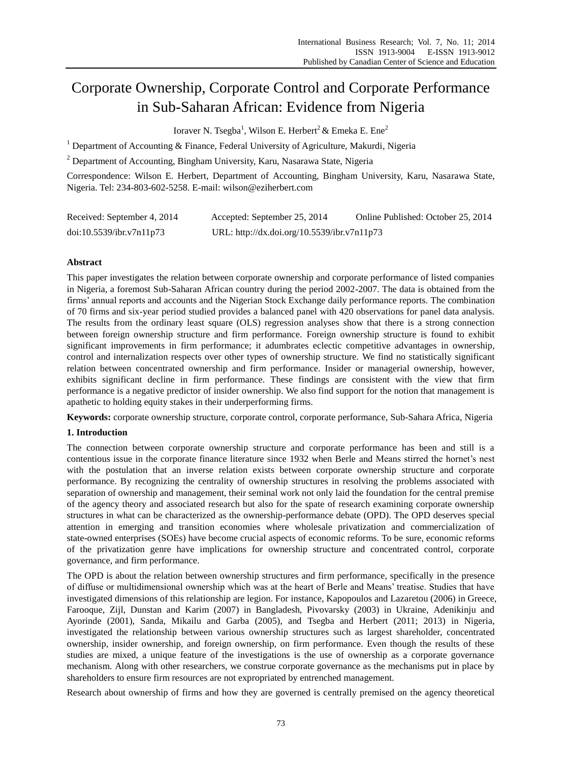# Corporate Ownership, Corporate Control and Corporate Performance in Sub-Saharan African: Evidence from Nigeria

Ioraver N. Tsegba<sup>1</sup>, Wilson E. Herbert<sup>2</sup> & Emeka E. Ene<sup>2</sup>

<sup>1</sup> Department of Accounting & Finance, Federal University of Agriculture, Makurdi, Nigeria

<sup>2</sup> Department of Accounting, Bingham University, Karu, Nasarawa State, Nigeria

Correspondence: Wilson E. Herbert, Department of Accounting, Bingham University, Karu, Nasarawa State, Nigeria. Tel: 234-803-602-5258. E-mail: wilson@eziherbert.com

| Received: September 4, 2014 | Accepted: September 25, 2014                | Online Published: October 25, 2014 |
|-----------------------------|---------------------------------------------|------------------------------------|
| doi:10.5539/ibr.v7n11p73    | URL: http://dx.doi.org/10.5539/ibr.v7n11p73 |                                    |

# **Abstract**

This paper investigates the relation between corporate ownership and corporate performance of listed companies in Nigeria, a foremost Sub-Saharan African country during the period 2002-2007. The data is obtained from the firms" annual reports and accounts and the Nigerian Stock Exchange daily performance reports. The combination of 70 firms and six-year period studied provides a balanced panel with 420 observations for panel data analysis. The results from the ordinary least square (OLS) regression analyses show that there is a strong connection between foreign ownership structure and firm performance. Foreign ownership structure is found to exhibit significant improvements in firm performance; it adumbrates eclectic competitive advantages in ownership, control and internalization respects over other types of ownership structure. We find no statistically significant relation between concentrated ownership and firm performance. Insider or managerial ownership, however, exhibits significant decline in firm performance. These findings are consistent with the view that firm performance is a negative predictor of insider ownership. We also find support for the notion that management is apathetic to holding equity stakes in their underperforming firms.

**Keywords:** corporate ownership structure, corporate control, corporate performance, Sub-Sahara Africa, Nigeria

# **1. Introduction**

The connection between corporate ownership structure and corporate performance has been and still is a contentious issue in the corporate finance literature since 1932 when Berle and Means stirred the hornet's nest with the postulation that an inverse relation exists between corporate ownership structure and corporate performance. By recognizing the centrality of ownership structures in resolving the problems associated with separation of ownership and management, their seminal work not only laid the foundation for the central premise of the agency theory and associated research but also for the spate of research examining corporate ownership structures in what can be characterized as the ownership-performance debate (OPD). The OPD deserves special attention in emerging and transition economies where wholesale privatization and commercialization of state-owned enterprises (SOEs) have become crucial aspects of economic reforms. To be sure, economic reforms of the privatization genre have implications for ownership structure and concentrated control, corporate governance, and firm performance.

The OPD is about the relation between ownership structures and firm performance, specifically in the presence of diffuse or multidimensional ownership which was at the heart of Berle and Means" treatise. Studies that have investigated dimensions of this relationship are legion. For instance, Kapopoulos and Lazaretou (2006) in Greece, Farooque, Zijl, Dunstan and Karim (2007) in Bangladesh, Pivovarsky (2003) in Ukraine, Adenikinju and Ayorinde (2001), Sanda, Mikailu and Garba (2005), and Tsegba and Herbert (2011; 2013) in Nigeria, investigated the relationship between various ownership structures such as largest shareholder, concentrated ownership, insider ownership, and foreign ownership, on firm performance. Even though the results of these studies are mixed, a unique feature of the investigations is the use of ownership as a corporate governance mechanism. Along with other researchers, we construe corporate governance as the mechanisms put in place by shareholders to ensure firm resources are not expropriated by entrenched management.

Research about ownership of firms and how they are governed is centrally premised on the agency theoretical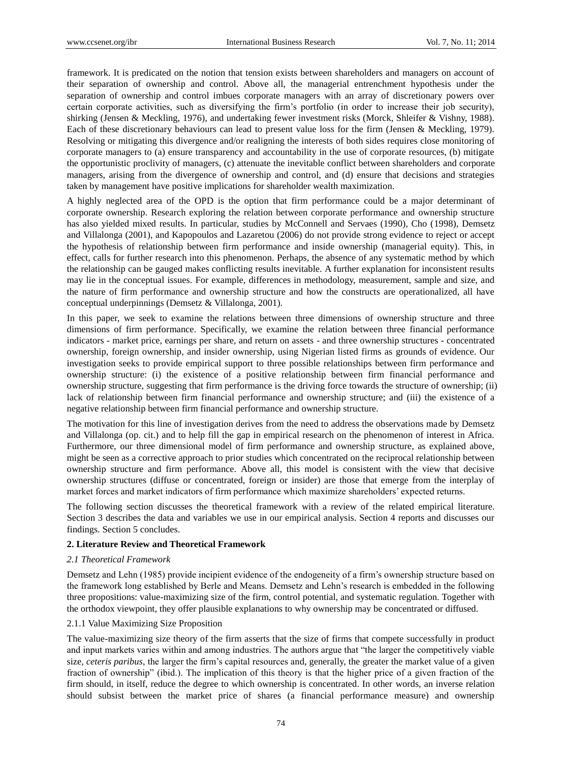framework. It is predicated on the notion that tension exists between shareholders and managers on account of their separation of ownership and control. Above all, the managerial entrenchment hypothesis under the separation of ownership and control imbues corporate managers with an array of discretionary powers over certain corporate activities, such as diversifying the firm"s portfolio (in order to increase their job security), shirking (Jensen & Meckling, 1976), and undertaking fewer investment risks (Morck, Shleifer & Vishny, 1988). Each of these discretionary behaviours can lead to present value loss for the firm (Jensen & Meckling, 1979). Resolving or mitigating this divergence and/or realigning the interests of both sides requires close monitoring of corporate managers to (a) ensure transparency and accountability in the use of corporate resources, (b) mitigate the opportunistic proclivity of managers, (c) attenuate the inevitable conflict between shareholders and corporate managers, arising from the divergence of ownership and control, and (d) ensure that decisions and strategies taken by management have positive implications for shareholder wealth maximization.

A highly neglected area of the OPD is the option that firm performance could be a major determinant of corporate ownership. Research exploring the relation between corporate performance and ownership structure has also yielded mixed results. In particular, studies by McConnell and Servaes (1990), Cho (1998), Demsetz and Villalonga (2001), and Kapopoulos and Lazaretou (2006) do not provide strong evidence to reject or accept the hypothesis of relationship between firm performance and inside ownership (managerial equity). This, in effect, calls for further research into this phenomenon. Perhaps, the absence of any systematic method by which the relationship can be gauged makes conflicting results inevitable. A further explanation for inconsistent results may lie in the conceptual issues. For example, differences in methodology, measurement, sample and size, and the nature of firm performance and ownership structure and how the constructs are operationalized, all have conceptual underpinnings (Demsetz & Villalonga, 2001).

In this paper, we seek to examine the relations between three dimensions of ownership structure and three dimensions of firm performance. Specifically, we examine the relation between three financial performance indicators - market price, earnings per share, and return on assets - and three ownership structures - concentrated ownership, foreign ownership, and insider ownership, using Nigerian listed firms as grounds of evidence. Our investigation seeks to provide empirical support to three possible relationships between firm performance and ownership structure: (i) the existence of a positive relationship between firm financial performance and ownership structure, suggesting that firm performance is the driving force towards the structure of ownership; (ii) lack of relationship between firm financial performance and ownership structure; and (iii) the existence of a negative relationship between firm financial performance and ownership structure.

The motivation for this line of investigation derives from the need to address the observations made by Demsetz and Villalonga (op. cit.) and to help fill the gap in empirical research on the phenomenon of interest in Africa. Furthermore, our three dimensional model of firm performance and ownership structure, as explained above, might be seen as a corrective approach to prior studies which concentrated on the reciprocal relationship between ownership structure and firm performance. Above all, this model is consistent with the view that decisive ownership structures (diffuse or concentrated, foreign or insider) are those that emerge from the interplay of market forces and market indicators of firm performance which maximize shareholders" expected returns.

The following section discusses the theoretical framework with a review of the related empirical literature. Section 3 describes the data and variables we use in our empirical analysis. Section 4 reports and discusses our findings. Section 5 concludes.

# **2. Literature Review and Theoretical Framework**

## *2.1 Theoretical Framework*

Demsetz and Lehn (1985) provide incipient evidence of the endogeneity of a firm"s ownership structure based on the framework long established by Berle and Means. Demsetz and Lehn"s research is embedded in the following three propositions: value-maximizing size of the firm, control potential, and systematic regulation. Together with the orthodox viewpoint, they offer plausible explanations to why ownership may be concentrated or diffused.

# 2.1.1 Value Maximizing Size Proposition

The value-maximizing size theory of the firm asserts that the size of firms that compete successfully in product and input markets varies within and among industries. The authors argue that "the larger the competitively viable size*, ceteris paribus*, the larger the firm"s capital resources and, generally, the greater the market value of a given fraction of ownership" (ibid.). The implication of this theory is that the higher price of a given fraction of the firm should, in itself, reduce the degree to which ownership is concentrated. In other words, an inverse relation should subsist between the market price of shares (a financial performance measure) and ownership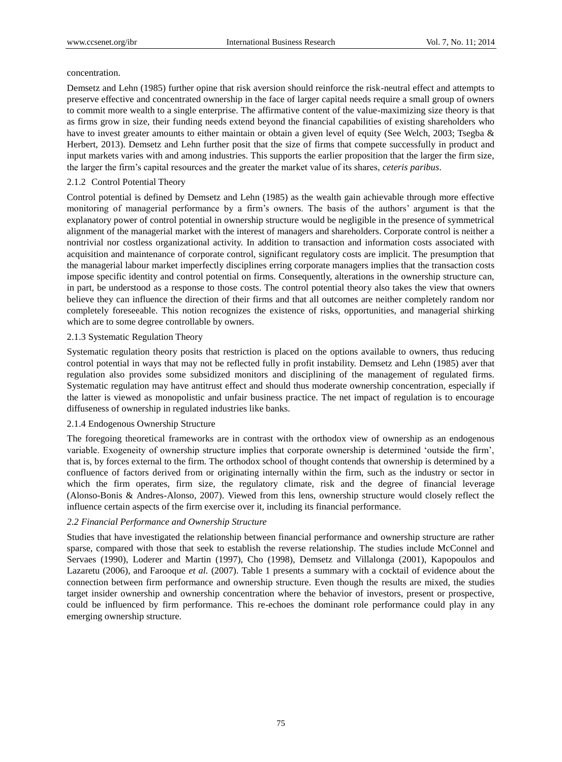## concentration.

Demsetz and Lehn (1985) further opine that risk aversion should reinforce the risk-neutral effect and attempts to preserve effective and concentrated ownership in the face of larger capital needs require a small group of owners to commit more wealth to a single enterprise. The affirmative content of the value-maximizing size theory is that as firms grow in size, their funding needs extend beyond the financial capabilities of existing shareholders who have to invest greater amounts to either maintain or obtain a given level of equity (See Welch, 2003; Tsegba & Herbert, 2013). Demsetz and Lehn further posit that the size of firms that compete successfully in product and input markets varies with and among industries. This supports the earlier proposition that the larger the firm size, the larger the firm"s capital resources and the greater the market value of its shares, *ceteris paribus*.

# 2.1.2 Control Potential Theory

Control potential is defined by Demsetz and Lehn (1985) as the wealth gain achievable through more effective monitoring of managerial performance by a firm"s owners. The basis of the authors" argument is that the explanatory power of control potential in ownership structure would be negligible in the presence of symmetrical alignment of the managerial market with the interest of managers and shareholders. Corporate control is neither a nontrivial nor costless organizational activity. In addition to transaction and information costs associated with acquisition and maintenance of corporate control, significant regulatory costs are implicit. The presumption that the managerial labour market imperfectly disciplines erring corporate managers implies that the transaction costs impose specific identity and control potential on firms. Consequently, alterations in the ownership structure can, in part, be understood as a response to those costs. The control potential theory also takes the view that owners believe they can influence the direction of their firms and that all outcomes are neither completely random nor completely foreseeable. This notion recognizes the existence of risks, opportunities, and managerial shirking which are to some degree controllable by owners.

# 2.1.3 Systematic Regulation Theory

Systematic regulation theory posits that restriction is placed on the options available to owners, thus reducing control potential in ways that may not be reflected fully in profit instability. Demsetz and Lehn (1985) aver that regulation also provides some subsidized monitors and disciplining of the management of regulated firms. Systematic regulation may have antitrust effect and should thus moderate ownership concentration, especially if the latter is viewed as monopolistic and unfair business practice. The net impact of regulation is to encourage diffuseness of ownership in regulated industries like banks.

# 2.1.4 Endogenous Ownership Structure

The foregoing theoretical frameworks are in contrast with the orthodox view of ownership as an endogenous variable. Exogeneity of ownership structure implies that corporate ownership is determined "outside the firm", that is, by forces external to the firm. The orthodox school of thought contends that ownership is determined by a confluence of factors derived from or originating internally within the firm, such as the industry or sector in which the firm operates, firm size, the regulatory climate, risk and the degree of financial leverage (Alonso-Bonis & Andres-Alonso, 2007). Viewed from this lens, ownership structure would closely reflect the influence certain aspects of the firm exercise over it, including its financial performance.

# *2.2 Financial Performance and Ownership Structure*

Studies that have investigated the relationship between financial performance and ownership structure are rather sparse, compared with those that seek to establish the reverse relationship. The studies include McConnel and Servaes (1990), Loderer and Martin (1997), Cho (1998), Demsetz and Villalonga (2001), Kapopoulos and Lazaretu (2006), and Farooque *et al.* (2007). Table 1 presents a summary with a cocktail of evidence about the connection between firm performance and ownership structure. Even though the results are mixed, the studies target insider ownership and ownership concentration where the behavior of investors, present or prospective, could be influenced by firm performance. This re-echoes the dominant role performance could play in any emerging ownership structure.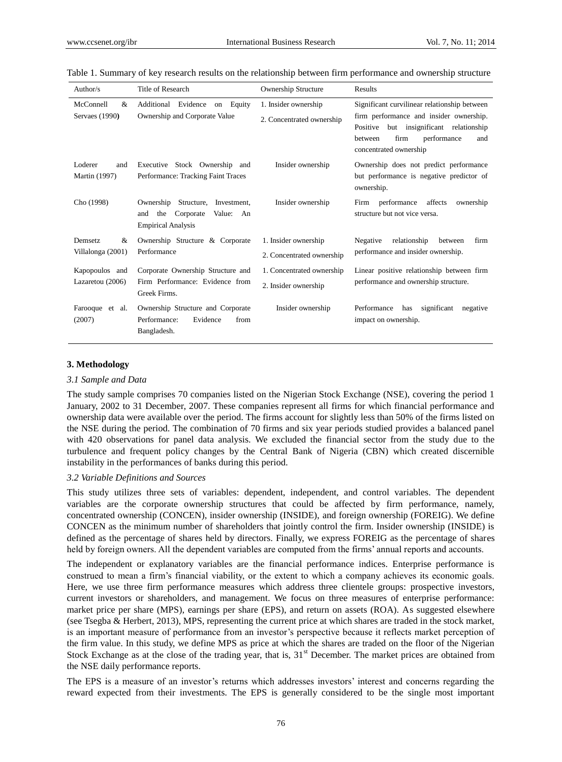| Author/s                                 | Title of Research                                                                                           | <b>Ownership Structure</b>                        | Results                                                                                                                                                                                                  |
|------------------------------------------|-------------------------------------------------------------------------------------------------------------|---------------------------------------------------|----------------------------------------------------------------------------------------------------------------------------------------------------------------------------------------------------------|
| McConnell<br>&<br>Servaes (1990)         | Additional<br>Evidence<br>Equity<br><sub>on</sub><br>Ownership and Corporate Value                          | 1. Insider ownership<br>2. Concentrated ownership | Significant curvilinear relationship between<br>firm performance and insider ownership.<br>but insignificant relationship<br>Positive<br>performance<br>firm<br>between<br>and<br>concentrated ownership |
| Loderer<br>and<br><b>Martin</b> (1997)   | Executive Stock Ownership and<br>Performance: Tracking Faint Traces                                         | Insider ownership                                 | Ownership does not predict performance<br>but performance is negative predictor of<br>ownership.                                                                                                         |
| Cho (1998)                               | Ownership<br>Structure.<br>Investment.<br>the Corporate<br>Value:<br>and<br>An<br><b>Empirical Analysis</b> | Insider ownership                                 | performance<br>affects<br>Firm<br>ownership<br>structure but not vice versa.                                                                                                                             |
| <b>Demsetz</b><br>&<br>Villalonga (2001) | Ownership Structure & Corporate<br>Performance                                                              | 1. Insider ownership<br>2. Concentrated ownership | relationship<br>Negative<br>between<br>firm<br>performance and insider ownership.                                                                                                                        |
| Kapopoulos and<br>Lazaretou (2006)       | Corporate Ownership Structure and<br>Firm Performance: Evidence from<br>Greek Firms.                        | 1. Concentrated ownership<br>2. Insider ownership | Linear positive relationship between firm<br>performance and ownership structure.                                                                                                                        |
| Farooque et al.<br>(2007)                | Ownership Structure and Corporate<br>Performance:<br>Evidence<br>from<br>Bangladesh.                        | Insider ownership                                 | Performance<br>has<br>significant<br>negative<br>impact on ownership.                                                                                                                                    |

Table 1. Summary of key research results on the relationship between firm performance and ownership structure

## **3. Methodology**

#### *3.1 Sample and Data*

The study sample comprises 70 companies listed on the Nigerian Stock Exchange (NSE), covering the period 1 January, 2002 to 31 December, 2007. These companies represent all firms for which financial performance and ownership data were available over the period. The firms account for slightly less than 50% of the firms listed on the NSE during the period. The combination of 70 firms and six year periods studied provides a balanced panel with 420 observations for panel data analysis. We excluded the financial sector from the study due to the turbulence and frequent policy changes by the Central Bank of Nigeria (CBN) which created discernible instability in the performances of banks during this period.

# *3.2 Variable Definitions and Sources*

This study utilizes three sets of variables: dependent, independent, and control variables. The dependent variables are the corporate ownership structures that could be affected by firm performance, namely, concentrated ownership (CONCEN), insider ownership (INSIDE), and foreign ownership (FOREIG). We define CONCEN as the minimum number of shareholders that jointly control the firm. Insider ownership (INSIDE) is defined as the percentage of shares held by directors. Finally, we express FOREIG as the percentage of shares held by foreign owners. All the dependent variables are computed from the firms' annual reports and accounts.

The independent or explanatory variables are the financial performance indices. Enterprise performance is construed to mean a firm"s financial viability, or the extent to which a company achieves its economic goals. Here, we use three firm performance measures which address three clientele groups: prospective investors, current investors or shareholders, and management. We focus on three measures of enterprise performance: market price per share (MPS), earnings per share (EPS), and return on assets (ROA). As suggested elsewhere (see Tsegba & Herbert, 2013), MPS, representing the current price at which shares are traded in the stock market, is an important measure of performance from an investor's perspective because it reflects market perception of the firm value. In this study, we define MPS as price at which the shares are traded on the floor of the Nigerian Stock Exchange as at the close of the trading year, that is, 31<sup>st</sup> December. The market prices are obtained from the NSE daily performance reports.

The EPS is a measure of an investor's returns which addresses investors' interest and concerns regarding the reward expected from their investments. The EPS is generally considered to be the single most important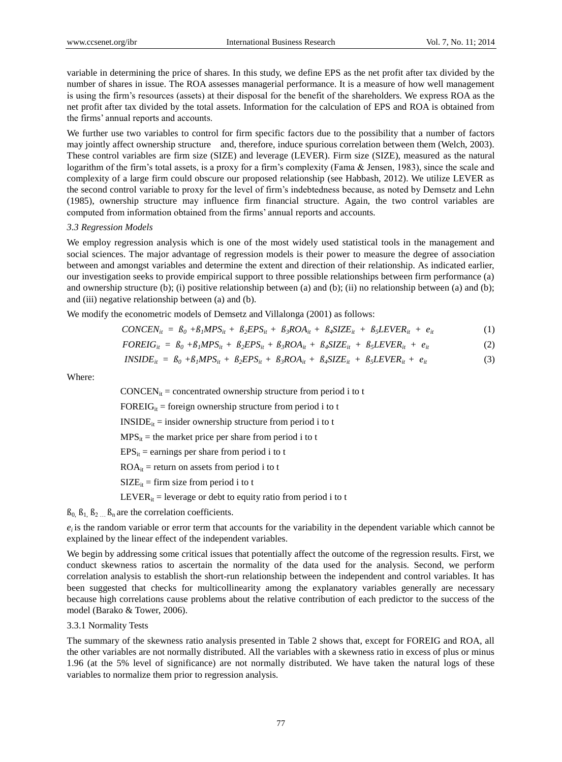variable in determining the price of shares. In this study, we define EPS as the net profit after tax divided by the number of shares in issue. The ROA assesses managerial performance. It is a measure of how well management is using the firm"s resources (assets) at their disposal for the benefit of the shareholders. We express ROA as the net profit after tax divided by the total assets. Information for the calculation of EPS and ROA is obtained from the firms" annual reports and accounts.

We further use two variables to control for firm specific factors due to the possibility that a number of factors may jointly affect ownership structure and, therefore, induce spurious correlation between them (Welch, 2003). These control variables are firm size (SIZE) and leverage (LEVER). Firm size (SIZE), measured as the natural logarithm of the firm"s total assets, is a proxy for a firm"s complexity (Fama & Jensen, 1983), since the scale and complexity of a large firm could obscure our proposed relationship (see Habbash, 2012). We utilize LEVER as the second control variable to proxy for the level of firm"s indebtedness because, as noted by Demsetz and Lehn (1985), ownership structure may influence firm financial structure. Again, the two control variables are computed from information obtained from the firms' annual reports and accounts.

#### *3.3 Regression Models*

We employ regression analysis which is one of the most widely used statistical tools in the management and social sciences. The major advantage of regression models is their power to measure the degree of association between and amongst variables and determine the extent and direction of their relationship. As indicated earlier, our investigation seeks to provide empirical support to three possible relationships between firm performance (a) and ownership structure (b); (i) positive relationship between (a) and (b); (ii) no relationship between (a) and (b); and (iii) negative relationship between (a) and (b).

We modify the econometric models of Demsetz and Villalonga (2001) as follows:

$$
CONCEN_{it} = \beta_0 + \beta_1 MPS_{it} + \beta_2 EPS_{it} + \beta_3 ROA_{it} + \beta_4 SIZE_{it} + \beta_5 LEVER_{it} + e_{it}
$$
 (1)

$$
FOREIG_{it} = \beta_0 + \beta_1 MPS_{it} + \beta_2 EPS_{it} + \beta_3 ROA_{it} + \beta_4 SIZE_{it} + \beta_5 LEVER_{it} + e_{it}
$$
 (2)

$$
INSIDE_{it} = \beta_0 + \beta_l MPS_{it} + \beta_2 EPS_{it} + \beta_3 ROA_{it} + \beta_4 SIZE_{it} + \beta_5 LEVER_{it} + e_{it}
$$
\n(3)

Where:

 $CONCEN_{it} = concentrated$  ownership structure from period i to t

 $\text{FOREIG}_{it}$  = foreign ownership structure from period i to t

 $INSIDE_{it}$  = insider ownership structure from period i to t

 $MPS_{it}$  = the market price per share from period i to t

 $EPS<sub>it</sub> = earnings per share from period i to t$ 

 $ROA_{it}$  = return on assets from period i to t

 $SIZE_{it}$  = firm size from period i to t

LEVER $_{it}$  = leverage or debt to equity ratio from period i to t

 $\mathbf{B}_0$ ,  $\mathbf{B}_1$ ,  $\mathbf{B}_2$ ,  $\mathbf{B}_n$  are the correlation coefficients.

 $e_i$  is the random variable or error term that accounts for the variability in the dependent variable which cannot be explained by the linear effect of the independent variables.

We begin by addressing some critical issues that potentially affect the outcome of the regression results. First, we conduct skewness ratios to ascertain the normality of the data used for the analysis. Second, we perform correlation analysis to establish the short-run relationship between the independent and control variables. It has been suggested that checks for multicollinearity among the explanatory variables generally are necessary because high correlations cause problems about the relative contribution of each predictor to the success of the model (Barako & Tower, 2006).

## 3.3.1 Normality Tests

The summary of the skewness ratio analysis presented in Table 2 shows that, except for FOREIG and ROA, all the other variables are not normally distributed. All the variables with a skewness ratio in excess of plus or minus 1.96 (at the 5% level of significance) are not normally distributed. We have taken the natural logs of these variables to normalize them prior to regression analysis.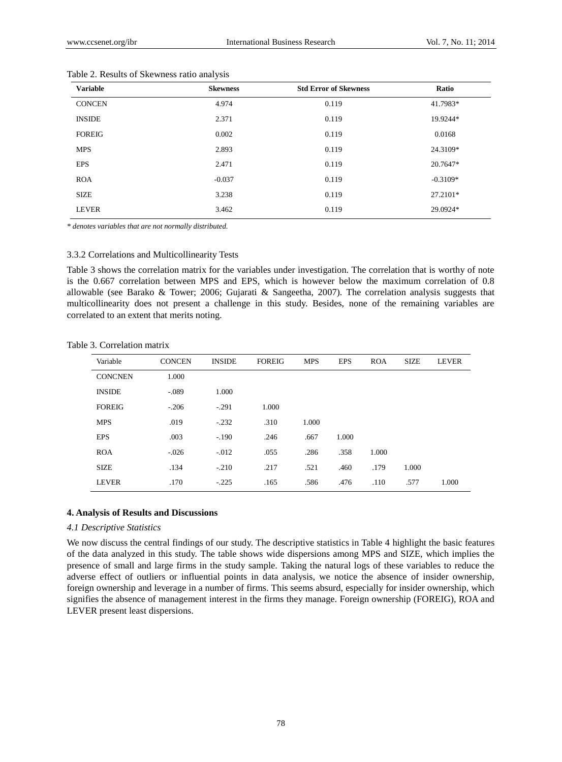| <b>Variable</b> | <b>Skewness</b> | <b>Std Error of Skewness</b> | Ratio      |
|-----------------|-----------------|------------------------------|------------|
| <b>CONCEN</b>   | 4.974           | 0.119                        | 41.7983*   |
| <b>INSIDE</b>   | 2.371           | 0.119                        | 19.9244*   |
| <b>FOREIG</b>   | 0.002           | 0.119                        | 0.0168     |
| <b>MPS</b>      | 2.893           | 0.119                        | 24.3109*   |
| <b>EPS</b>      | 2.471           | 0.119                        | 20.7647*   |
| <b>ROA</b>      | $-0.037$        | 0.119                        | $-0.3109*$ |
| <b>SIZE</b>     | 3.238           | 0.119                        | 27.2101*   |
| <b>LEVER</b>    | 3.462           | 0.119                        | 29.0924*   |

#### Table 2. Results of Skewness ratio analysis

*\* denotes variables that are not normally distributed.*

## 3.3.2 Correlations and Multicollinearity Tests

Table 3 shows the correlation matrix for the variables under investigation. The correlation that is worthy of note is the 0.667 correlation between MPS and EPS, which is however below the maximum correlation of 0.8 allowable (see Barako & Tower; 2006; Gujarati & Sangeetha, 2007). The correlation analysis suggests that multicollinearity does not present a challenge in this study. Besides, none of the remaining variables are correlated to an extent that merits noting.

| Variable       | <b>CONCEN</b> | <b>INSIDE</b> | <b>FOREIG</b> | <b>MPS</b> | <b>EPS</b> | <b>ROA</b> | <b>SIZE</b> | <b>LEVER</b> |
|----------------|---------------|---------------|---------------|------------|------------|------------|-------------|--------------|
| <b>CONCNEN</b> | 1.000         |               |               |            |            |            |             |              |
| <b>INSIDE</b>  | $-0.089$      | 1.000         |               |            |            |            |             |              |
| <b>FOREIG</b>  | $-.206$       | $-.291$       | 1.000         |            |            |            |             |              |
| <b>MPS</b>     | .019          | $-.232$       | .310          | 1.000      |            |            |             |              |
| <b>EPS</b>     | .003          | $-.190$       | .246          | .667       | 1.000      |            |             |              |
| <b>ROA</b>     | $-.026$       | $-0.012$      | .055          | .286       | .358       | 1.000      |             |              |
| <b>SIZE</b>    | .134          | $-.210$       | .217          | .521       | .460       | .179       | 1.000       |              |
| <b>LEVER</b>   | .170          | $-.225$       | .165          | .586       | .476       | .110       | .577        | 1.000        |

Table 3. Correlation matrix

#### **4. Analysis of Results and Discussions**

#### *4.1 Descriptive Statistics*

We now discuss the central findings of our study. The descriptive statistics in Table 4 highlight the basic features of the data analyzed in this study. The table shows wide dispersions among MPS and SIZE, which implies the presence of small and large firms in the study sample. Taking the natural logs of these variables to reduce the adverse effect of outliers or influential points in data analysis, we notice the absence of insider ownership, foreign ownership and leverage in a number of firms. This seems absurd, especially for insider ownership, which signifies the absence of management interest in the firms they manage. Foreign ownership (FOREIG), ROA and LEVER present least dispersions.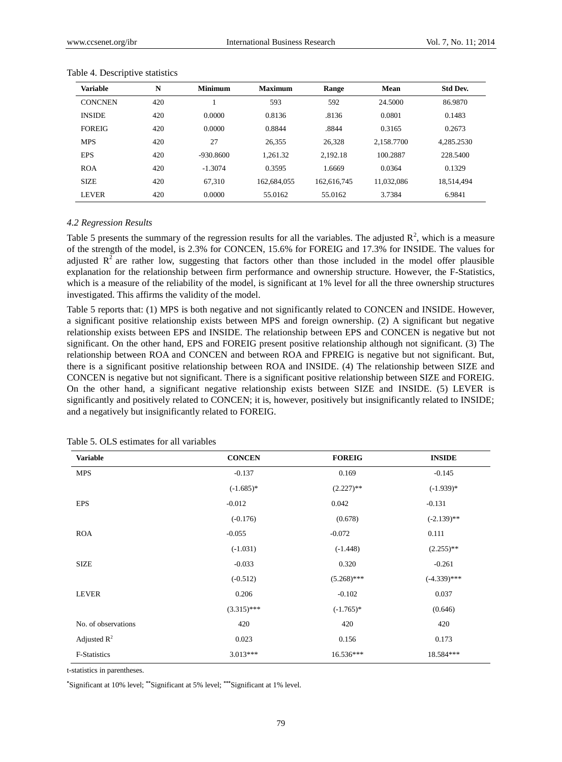| <b>Variable</b> | N   | <b>Minimum</b> | <b>Maximum</b> | <b>Range</b> | Mean       | <b>Std Dev.</b> |
|-----------------|-----|----------------|----------------|--------------|------------|-----------------|
| <b>CONCNEN</b>  | 420 |                | 593            | 592          | 24.5000    | 86.9870         |
| <b>INSIDE</b>   | 420 | 0.0000         | 0.8136         | .8136        | 0.0801     | 0.1483          |
| <b>FOREIG</b>   | 420 | 0.0000         | 0.8844         | .8844        | 0.3165     | 0.2673          |
| <b>MPS</b>      | 420 | 27             | 26,355         | 26,328       | 2,158.7700 | 4.285.2530      |
| <b>EPS</b>      | 420 | $-930.8600$    | 1.261.32       | 2.192.18     | 100.2887   | 228,5400        |
| <b>ROA</b>      | 420 | $-1.3074$      | 0.3595         | 1.6669       | 0.0364     | 0.1329          |
| <b>SIZE</b>     | 420 | 67.310         | 162,684,055    | 162,616,745  | 11.032.086 | 18,514,494      |
| <b>LEVER</b>    | 420 | 0.0000         | 55.0162        | 55.0162      | 3.7384     | 6.9841          |

#### Table 4. Descriptive statistics

#### *4.2 Regression Results*

Table 5 presents the summary of the regression results for all the variables. The adjusted  $\mathbb{R}^2$ , which is a measure of the strength of the model, is 2.3% for CONCEN, 15.6% for FOREIG and 17.3% for INSIDE. The values for adjusted  $R^2$  are rather low, suggesting that factors other than those included in the model offer plausible explanation for the relationship between firm performance and ownership structure. However, the F-Statistics, which is a measure of the reliability of the model, is significant at 1% level for all the three ownership structures investigated. This affirms the validity of the model.

Table 5 reports that: (1) MPS is both negative and not significantly related to CONCEN and INSIDE. However, a significant positive relationship exists between MPS and foreign ownership. (2) A significant but negative relationship exists between EPS and INSIDE. The relationship between EPS and CONCEN is negative but not significant. On the other hand, EPS and FOREIG present positive relationship although not significant. (3) The relationship between ROA and CONCEN and between ROA and FPREIG is negative but not significant. But, there is a significant positive relationship between ROA and INSIDE. (4) The relationship between SIZE and CONCEN is negative but not significant. There is a significant positive relationship between SIZE and FOREIG. On the other hand, a significant negative relationship exists between SIZE and INSIDE. (5) LEVER is significantly and positively related to CONCEN; it is, however, positively but insignificantly related to INSIDE; and a negatively but insignificantly related to FOREIG.

| <b>Variable</b>     | <b>CONCEN</b> | <b>FOREIG</b> | <b>INSIDE</b>  |
|---------------------|---------------|---------------|----------------|
| <b>MPS</b>          | $-0.137$      | 0.169         | $-0.145$       |
|                     | $(-1.685)*$   | $(2.227)$ **  | $(-1.939)*$    |
| <b>EPS</b>          | $-0.012$      | 0.042         | $-0.131$       |
|                     | $(-0.176)$    | (0.678)       | $(-2.139)$ **  |
| <b>ROA</b>          | $-0.055$      | $-0.072$      | 0.111          |
|                     | $(-1.031)$    | $(-1.448)$    | $(2.255)$ **   |
| <b>SIZE</b>         | $-0.033$      | 0.320         | $-0.261$       |
|                     | $(-0.512)$    | $(5.268)$ *** | $(-4.339)$ *** |
| <b>LEVER</b>        | 0.206         | $-0.102$      | 0.037          |
|                     | $(3.315)$ *** | $(-1.765)$ *  | (0.646)        |
| No. of observations | 420           | 420           | 420            |
| Adjusted $R^2$      | 0.023         | 0.156         | 0.173          |
| <b>F-Statistics</b> | $3.013***$    | 16.536***     | 18.584***      |

Table 5. OLS estimates for all variables

t-statistics in parentheses.

**\*** Significant at 10% level; **\*\***Significant at 5% level; **\*\*\***Significant at 1% level.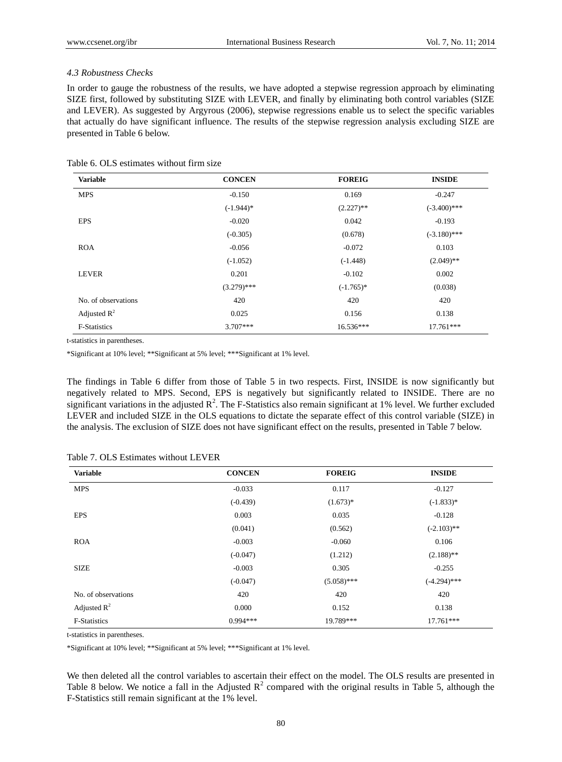## *4.3 Robustness Checks*

In order to gauge the robustness of the results, we have adopted a stepwise regression approach by eliminating SIZE first, followed by substituting SIZE with LEVER, and finally by eliminating both control variables (SIZE and LEVER). As suggested by Argyrous (2006), stepwise regressions enable us to select the specific variables that actually do have significant influence. The results of the stepwise regression analysis excluding SIZE are presented in Table 6 below.

| <b>Variable</b>     | <b>CONCEN</b> | <b>FOREIG</b> | <b>INSIDE</b>  |
|---------------------|---------------|---------------|----------------|
| <b>MPS</b>          | $-0.150$      | 0.169         | $-0.247$       |
|                     | $(-1.944)*$   | $(2.227)$ **  | $(-3.400)$ *** |
| <b>EPS</b>          | $-0.020$      | 0.042         | $-0.193$       |
|                     | $(-0.305)$    | (0.678)       | $(-3.180)$ *** |
| <b>ROA</b>          | $-0.056$      | $-0.072$      | 0.103          |
|                     | $(-1.052)$    | $(-1.448)$    | $(2.049)$ **   |
| <b>LEVER</b>        | 0.201         | $-0.102$      | 0.002          |
|                     | $(3.279)$ *** | $(-1.765)*$   | (0.038)        |
| No. of observations | 420           | 420           | 420            |
| Adjusted $R^2$      | 0.025         | 0.156         | 0.138          |
| <b>F-Statistics</b> | $3.707***$    | 16.536***     | 17.761***      |

# Table 6. OLS estimates without firm size

t-statistics in parentheses.

\*Significant at 10% level; \*\*Significant at 5% level; \*\*\*Significant at 1% level.

The findings in Table 6 differ from those of Table 5 in two respects. First, INSIDE is now significantly but negatively related to MPS. Second, EPS is negatively but significantly related to INSIDE. There are no significant variations in the adjusted  $\mathbb{R}^2$ . The F-Statistics also remain significant at 1% level. We further excluded LEVER and included SIZE in the OLS equations to dictate the separate effect of this control variable (SIZE) in the analysis. The exclusion of SIZE does not have significant effect on the results, presented in Table 7 below.

| <b>Variable</b>     | <b>CONCEN</b> | <b>FOREIG</b> | <b>INSIDE</b>  |
|---------------------|---------------|---------------|----------------|
| <b>MPS</b>          | $-0.033$      | 0.117         | $-0.127$       |
|                     | $(-0.439)$    | $(1.673)*$    | $(-1.833)*$    |
| <b>EPS</b>          | 0.003         | 0.035         | $-0.128$       |
|                     | (0.041)       | (0.562)       | $(-2.103)$ **  |
| <b>ROA</b>          | $-0.003$      | $-0.060$      | 0.106          |
|                     | $(-0.047)$    | (1.212)       | $(2.188)$ **   |
| <b>SIZE</b>         | $-0.003$      | 0.305         | $-0.255$       |
|                     | $(-0.047)$    | $(5.058)$ *** | $(-4.294)$ *** |
| No. of observations | 420           | 420           | 420            |
| Adjusted $R^2$      | 0.000         | 0.152         | 0.138          |
| <b>F-Statistics</b> | $0.994***$    | 19.789***     | $17.761***$    |

Table 7. OLS Estimates without LEVER

t-statistics in parentheses.

\*Significant at 10% level; \*\*Significant at 5% level; \*\*\*Significant at 1% level.

We then deleted all the control variables to ascertain their effect on the model. The OLS results are presented in Table 8 below. We notice a fall in the Adjusted  $R^2$  compared with the original results in Table 5, although the F-Statistics still remain significant at the 1% level.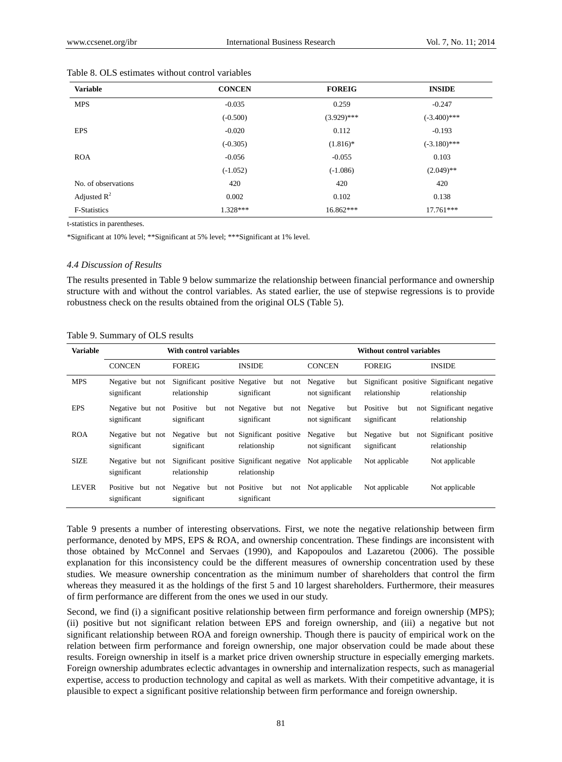| <b>Variable</b>     | <b>CONCEN</b> | <b>FOREIG</b> | <b>INSIDE</b>  |
|---------------------|---------------|---------------|----------------|
| <b>MPS</b>          | $-0.035$      | 0.259         | $-0.247$       |
|                     | $(-0.500)$    | $(3.929)$ *** | $(-3.400)$ *** |
| <b>EPS</b>          | $-0.020$      | 0.112         | $-0.193$       |
|                     | $(-0.305)$    | $(1.816)*$    | $(-3.180)$ *** |
| <b>ROA</b>          | $-0.056$      | $-0.055$      | 0.103          |
|                     | $(-1.052)$    | $(-1.086)$    | $(2.049)$ **   |
| No. of observations | 420           | 420           | 420            |
| Adjusted $R^2$      | 0.002         | 0.102         | 0.138          |
| <b>F-Statistics</b> | $1.328***$    | $16.862***$   | $17.761***$    |

#### Table 8. OLS estimates without control variables

t-statistics in parentheses.

\*Significant at 10% level; \*\*Significant at 5% level; \*\*\*Significant at 1% level.

#### *4.4 Discussion of Results*

The results presented in Table 9 below summarize the relationship between financial performance and ownership structure with and without the control variables. As stated earlier, the use of stepwise regressions is to provide robustness check on the results obtained from the original OLS (Table 5).

| <b>Variable</b> | With control variables                       |               |                                                                                                                              |                 | Without control variables |                                          |
|-----------------|----------------------------------------------|---------------|------------------------------------------------------------------------------------------------------------------------------|-----------------|---------------------------|------------------------------------------|
|                 | <b>CONCEN</b>                                | <b>FOREIG</b> | <b>INSIDE</b>                                                                                                                | <b>CONCEN</b>   | <b>FOREIG</b>             | <b>INSIDE</b>                            |
| <b>MPS</b>      | significant                                  | relationship  | Negative but not Significant positive Negative but not Negative but Significant positive Significant negative<br>significant | not significant | relationship              | relationship                             |
| <b>EPS</b>      | Negative but not Positive but<br>significant | significant   | not Negative but not Negative but Positive but<br>significant                                                                | not significant | significant               | not Significant negative<br>relationship |
| <b>ROA</b>      | significant                                  | significant   | Negative but not Negative but not Significant positive Negative but Negative but not Significant positive<br>relationship    | not significant | significant               | relationship                             |
| <b>SIZE</b>     | significant                                  | relationship  | Negative but not Significant positive Significant negative Not applicable<br>relationship                                    |                 | Not applicable            | Not applicable                           |
| LEVER           | significant                                  | significant   | Positive but not Negative but not Positive but not Not applicable<br>significant                                             |                 | Not applicable            | Not applicable                           |

Table 9. Summary of OLS results

Table 9 presents a number of interesting observations. First, we note the negative relationship between firm performance, denoted by MPS, EPS & ROA, and ownership concentration. These findings are inconsistent with those obtained by McConnel and Servaes (1990), and Kapopoulos and Lazaretou (2006). The possible explanation for this inconsistency could be the different measures of ownership concentration used by these studies. We measure ownership concentration as the minimum number of shareholders that control the firm whereas they measured it as the holdings of the first 5 and 10 largest shareholders. Furthermore, their measures of firm performance are different from the ones we used in our study.

Second, we find (i) a significant positive relationship between firm performance and foreign ownership (MPS); (ii) positive but not significant relation between EPS and foreign ownership, and (iii) a negative but not significant relationship between ROA and foreign ownership. Though there is paucity of empirical work on the relation between firm performance and foreign ownership, one major observation could be made about these results. Foreign ownership in itself is a market price driven ownership structure in especially emerging markets. Foreign ownership adumbrates eclectic advantages in ownership and internalization respects, such as managerial expertise, access to production technology and capital as well as markets. With their competitive advantage, it is plausible to expect a significant positive relationship between firm performance and foreign ownership.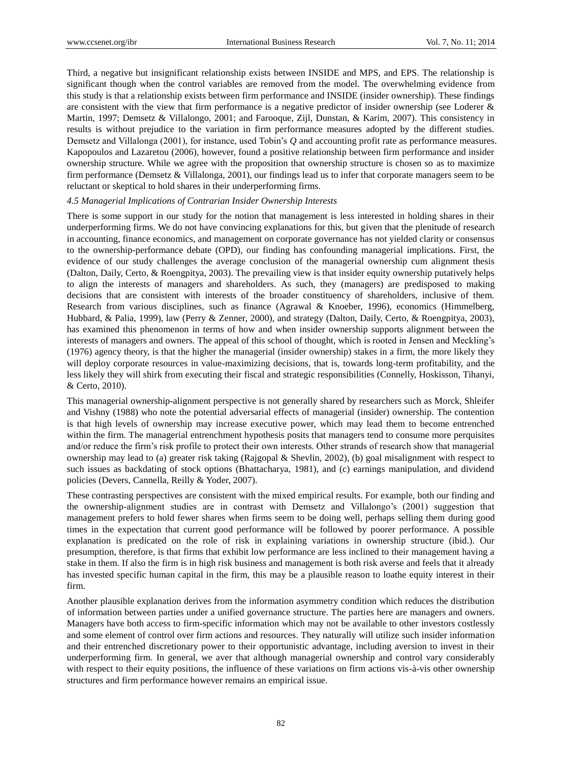Third, a negative but insignificant relationship exists between INSIDE and MPS, and EPS. The relationship is significant though when the control variables are removed from the model. The overwhelming evidence from this study is that a relationship exists between firm performance and INSIDE (insider ownership). These findings are consistent with the view that firm performance is a negative predictor of insider ownership (see Loderer & Martin, 1997; Demsetz & Villalongo, 2001; and Farooque, Zijl, Dunstan, & Karim, 2007). This consistency in results is without prejudice to the variation in firm performance measures adopted by the different studies. Demsetz and Villalonga (2001), for instance, used Tobin"s *Q* and accounting profit rate as performance measures. Kapopoulos and Lazaretou (2006), however, found a positive relationship between firm performance and insider ownership structure. While we agree with the proposition that ownership structure is chosen so as to maximize firm performance (Demsetz & Villalonga, 2001), our findings lead us to infer that corporate managers seem to be reluctant or skeptical to hold shares in their underperforming firms.

#### *4.5 Managerial Implications of Contrarian Insider Ownership Interests*

There is some support in our study for the notion that management is less interested in holding shares in their underperforming firms. We do not have convincing explanations for this, but given that the plenitude of research in accounting, finance economics, and management on corporate governance has not yielded clarity or consensus to the ownership-performance debate (OPD), our finding has confounding managerial implications. First, the evidence of our study challenges the average conclusion of the managerial ownership cum alignment thesis (Dalton, Daily, Certo, & Roengpitya, 2003). The prevailing view is that insider equity ownership putatively helps to align the interests of managers and shareholders. As such, they (managers) are predisposed to making decisions that are consistent with interests of the broader constituency of shareholders, inclusive of them. Research from various disciplines, such as finance (Agrawal & Knoeber, 1996), economics (Himmelberg, Hubbard, & Palia, 1999), law (Perry & Zenner, 2000), and strategy (Dalton, Daily, Certo, & Roengpitya, 2003), has examined this phenomenon in terms of how and when insider ownership supports alignment between the interests of managers and owners. The appeal of this school of thought, which is rooted in Jensen and Meckling's (1976) agency theory, is that the higher the managerial (insider ownership) stakes in a firm, the more likely they will deploy corporate resources in value-maximizing decisions, that is, towards long-term profitability, and the less likely they will shirk from executing their fiscal and strategic responsibilities (Connelly, Hoskisson, Tihanyi, & Certo, 2010).

This managerial ownership-alignment perspective is not generally shared by researchers such as Morck, Shleifer and Vishny (1988) who note the potential adversarial effects of managerial (insider) ownership. The contention is that high levels of ownership may increase executive power, which may lead them to become entrenched within the firm. The managerial entrenchment hypothesis posits that managers tend to consume more perquisites and/or reduce the firm"s risk profile to protect their own interests. Other strands of research show that managerial ownership may lead to (a) greater risk taking (Rajgopal & Shevlin, 2002), (b) goal misalignment with respect to such issues as backdating of stock options (Bhattacharya, 1981), and (c) earnings manipulation, and dividend policies (Devers, Cannella, Reilly & Yoder, 2007).

These contrasting perspectives are consistent with the mixed empirical results. For example, both our finding and the ownership-alignment studies are in contrast with Demsetz and Villalongo"s (2001) suggestion that management prefers to hold fewer shares when firms seem to be doing well, perhaps selling them during good times in the expectation that current good performance will be followed by poorer performance. A possible explanation is predicated on the role of risk in explaining variations in ownership structure (ibid.). Our presumption, therefore, is that firms that exhibit low performance are less inclined to their management having a stake in them. If also the firm is in high risk business and management is both risk averse and feels that it already has invested specific human capital in the firm, this may be a plausible reason to loathe equity interest in their firm.

Another plausible explanation derives from the information asymmetry condition which reduces the distribution of information between parties under a unified governance structure. The parties here are managers and owners. Managers have both access to firm-specific information which may not be available to other investors costlessly and some element of control over firm actions and resources. They naturally will utilize such insider information and their entrenched discretionary power to their opportunistic advantage, including aversion to invest in their underperforming firm. In general, we aver that although managerial ownership and control vary considerably with respect to their equity positions, the influence of these variations on firm actions vis-à-vis other ownership structures and firm performance however remains an empirical issue.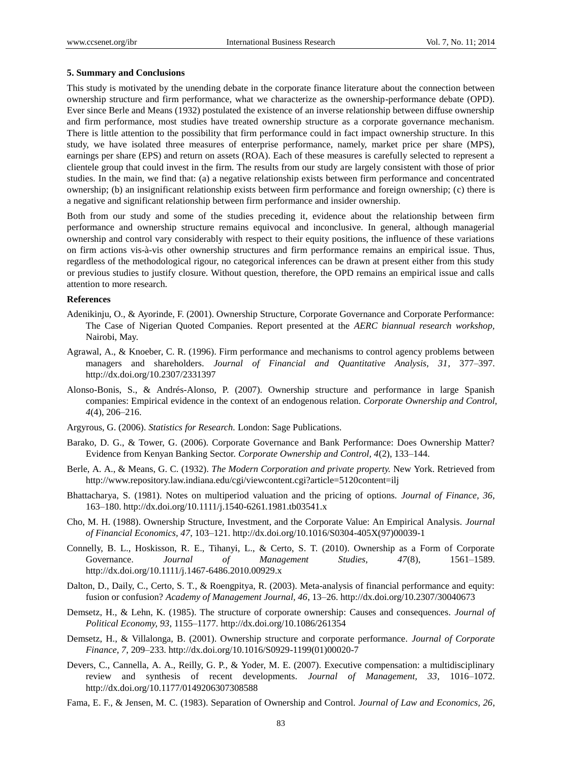## **5. Summary and Conclusions**

This study is motivated by the unending debate in the corporate finance literature about the connection between ownership structure and firm performance, what we characterize as the ownership-performance debate (OPD). Ever since Berle and Means (1932) postulated the existence of an inverse relationship between diffuse ownership and firm performance, most studies have treated ownership structure as a corporate governance mechanism. There is little attention to the possibility that firm performance could in fact impact ownership structure. In this study, we have isolated three measures of enterprise performance, namely, market price per share (MPS), earnings per share (EPS) and return on assets (ROA). Each of these measures is carefully selected to represent a clientele group that could invest in the firm. The results from our study are largely consistent with those of prior studies. In the main, we find that: (a) a negative relationship exists between firm performance and concentrated ownership; (b) an insignificant relationship exists between firm performance and foreign ownership; (c) there is a negative and significant relationship between firm performance and insider ownership.

Both from our study and some of the studies preceding it, evidence about the relationship between firm performance and ownership structure remains equivocal and inconclusive. In general, although managerial ownership and control vary considerably with respect to their equity positions, the influence of these variations on firm actions vis-à-vis other ownership structures and firm performance remains an empirical issue. Thus, regardless of the methodological rigour, no categorical inferences can be drawn at present either from this study or previous studies to justify closure. Without question, therefore, the OPD remains an empirical issue and calls attention to more research.

## **References**

- Adenikinju, O., & Ayorinde, F. (2001). Ownership Structure, Corporate Governance and Corporate Performance: The Case of Nigerian Quoted Companies. Report presented at the *AERC biannual research workshop,* Nairobi, May.
- Agrawal, A., & Knoeber, C. R. (1996). Firm performance and mechanisms to control agency problems between managers and shareholders. *Journal of Financial and Quantitative Analysis, 31*, 377–397. http://dx.doi.org/10.2307/2331397
- Alonso-Bonis, S., & Andrés-Alonso, P. (2007). Ownership structure and performance in large Spanish companies: Empirical evidence in the context of an endogenous relation. *Corporate Ownership and Control, 4*(4), 206–216.
- Argyrous, G. (2006). *Statistics for Research.* London: Sage Publications.
- Barako, D. G., & Tower, G. (2006). Corporate Governance and Bank Performance: Does Ownership Matter? Evidence from Kenyan Banking Sector. *Corporate Ownership and Control, 4*(2), 133–144.
- Berle, A. A., & Means, G. C. (1932). *The Modern Corporation and private property.* New York. Retrieved from http://www.repository.law.indiana.edu/cgi/viewcontent.cgi?article=5120content=ilj
- Bhattacharya, S. (1981). Notes on multiperiod valuation and the pricing of options. *Journal of Finance, 36*, 163–180. http://dx.doi.org/10.1111/j.1540-6261.1981.tb03541.x
- Cho, M. H. (1988). Ownership Structure, Investment, and the Corporate Value: An Empirical Analysis. *Journal of Financial Economics, 47*, 103–121. http://dx.doi.org/10.1016/S0304-405X(97)00039-1
- Connelly, B. L., Hoskisson, R. E., Tihanyi, L., & Certo, S. T. (2010). Ownership as a Form of Corporate Governance. *Journal of Management Studies, 47*(8), 1561–1589. http://dx.doi.org/10.1111/j.1467-6486.2010.00929.x
- Dalton, D., Daily, C., Certo, S. T., & Roengpitya, R. (2003). Meta-analysis of financial performance and equity: fusion or confusion? *Academy of Management Journal, 46*, 13–26. http://dx.doi.org/10.2307/30040673
- Demsetz, H., & Lehn, K. (1985). The structure of corporate ownership: Causes and consequences. *Journal of Political Economy, 93*, 1155–1177. http://dx.doi.org/10.1086/261354
- Demsetz, H., & Villalonga, B. (2001). Ownership structure and corporate performance. *Journal of Corporate Finance, 7*, 209–233*.* http://dx.doi.org/10.1016/S0929-1199(01)00020-7
- Devers, C., Cannella, A. A., Reilly, G. P., & Yoder, M. E. (2007). Executive compensation: a multidisciplinary review and synthesis of recent developments. *Journal of Management, 33*, 1016–1072. http://dx.doi.org/10.1177/0149206307308588
- Fama, E. F., & Jensen, M. C. (1983). Separation of Ownership and Control. *Journal of Law and Economics, 26*,